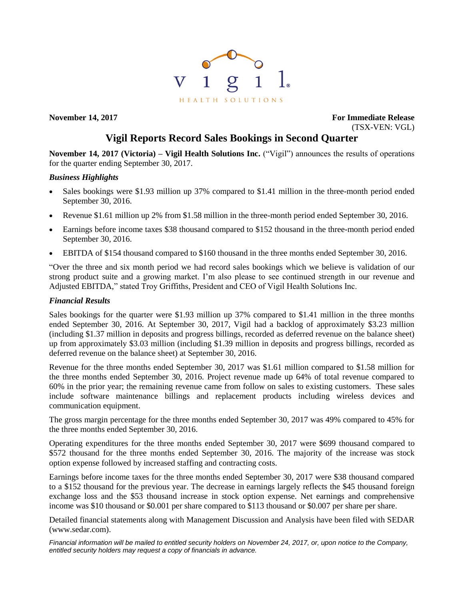

**November 14, 2017 For Immediate Release** (TSX-VEN: VGL)

# **Vigil Reports Record Sales Bookings in Second Quarter**

**November 14, 2017 (Victoria) – Vigil Health Solutions Inc.** ("Vigil") announces the results of operations for the quarter ending September 30, 2017.

# *Business Highlights*

- Sales bookings were \$1.93 million up 37% compared to \$1.41 million in the three-month period ended September 30, 2016.
- Revenue \$1.61 million up 2% from \$1.58 million in the three-month period ended September 30, 2016.
- Earnings before income taxes \$38 thousand compared to \$152 thousand in the three-month period ended September 30, 2016.
- EBITDA of \$154 thousand compared to \$160 thousand in the three months ended September 30, 2016.

"Over the three and six month period we had record sales bookings which we believe is validation of our strong product suite and a growing market. I'm also please to see continued strength in our revenue and Adjusted EBITDA," stated Troy Griffiths, President and CEO of Vigil Health Solutions Inc.

## *Financial Results*

Sales bookings for the quarter were \$1.93 million up 37% compared to \$1.41 million in the three months ended September 30, 2016. At September 30, 2017, Vigil had a backlog of approximately \$3.23 million (including \$1.37 million in deposits and progress billings, recorded as deferred revenue on the balance sheet) up from approximately \$3.03 million (including \$1.39 million in deposits and progress billings, recorded as deferred revenue on the balance sheet) at September 30, 2016.

Revenue for the three months ended September 30, 2017 was \$1.61 million compared to \$1.58 million for the three months ended September 30, 2016. Project revenue made up 64% of total revenue compared to 60% in the prior year; the remaining revenue came from follow on sales to existing customers. These sales include software maintenance billings and replacement products including wireless devices and communication equipment.

The gross margin percentage for the three months ended September 30, 2017 was 49% compared to 45% for the three months ended September 30, 2016.

Operating expenditures for the three months ended September 30, 2017 were \$699 thousand compared to \$572 thousand for the three months ended September 30, 2016. The majority of the increase was stock option expense followed by increased staffing and contracting costs.

Earnings before income taxes for the three months ended September 30, 2017 were \$38 thousand compared to a \$152 thousand for the previous year. The decrease in earnings largely reflects the \$45 thousand foreign exchange loss and the \$53 thousand increase in stock option expense. Net earnings and comprehensive income was \$10 thousand or \$0.001 per share compared to \$113 thousand or \$0.007 per share per share.

Detailed financial statements along with Management Discussion and Analysis have been filed with SEDAR (www.sedar.com).

*Financial information will be mailed to entitled security holders on November 24, 2017, or, upon notice to the Company, entitled security holders may request a copy of financials in advance.*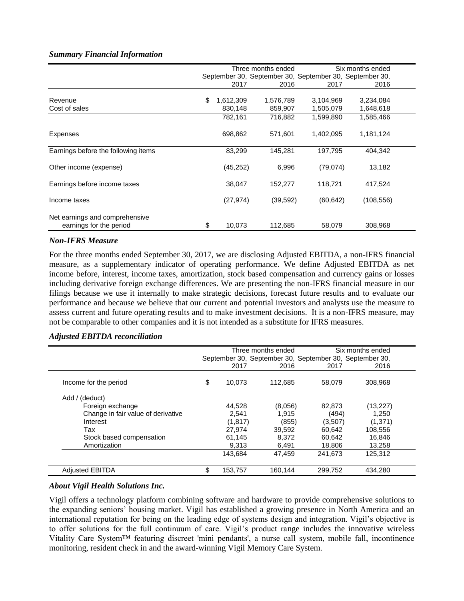## *Summary Financial Information*

|                                                           | Three months ended |           | Six months ended |                                                         |            |  |
|-----------------------------------------------------------|--------------------|-----------|------------------|---------------------------------------------------------|------------|--|
|                                                           |                    |           |                  | September 30, September 30, September 30, September 30, |            |  |
|                                                           |                    | 2017      | 2016             | 2017                                                    | 2016       |  |
| Revenue                                                   | \$                 | 1,612,309 | 1,576,789        | 3,104,969                                               | 3,234,084  |  |
| Cost of sales                                             |                    | 830,148   | 859,907          | 1,505,079                                               | 1,648,618  |  |
|                                                           |                    | 782,161   | 716,882          | 1,599,890                                               | 1,585,466  |  |
| Expenses                                                  |                    | 698,862   | 571,601          | 1,402,095                                               | 1,181,124  |  |
| Earnings before the following items                       |                    | 83,299    | 145,281          | 197,795                                                 | 404,342    |  |
| Other income (expense)                                    |                    | (45,252)  | 6,996            | (79, 074)                                               | 13,182     |  |
| Earnings before income taxes                              |                    | 38,047    | 152,277          | 118,721                                                 | 417,524    |  |
| Income taxes                                              |                    | (27, 974) | (39, 592)        | (60, 642)                                               | (108, 556) |  |
| Net earnings and comprehensive<br>earnings for the period | \$                 | 10,073    | 112,685          | 58,079                                                  | 308,968    |  |

### *Non-IFRS Measure*

For the three months ended September 30, 2017, we are disclosing Adjusted EBITDA, a non-IFRS financial measure, as a supplementary indicator of operating performance. We define Adjusted EBITDA as net income before, interest, income taxes, amortization, stock based compensation and currency gains or losses including derivative foreign exchange differences. We are presenting the non-IFRS financial measure in our filings because we use it internally to make strategic decisions, forecast future results and to evaluate our performance and because we believe that our current and potential investors and analysts use the measure to assess current and future operating results and to make investment decisions. It is a non-IFRS measure, may not be comparable to other companies and it is not intended as a substitute for IFRS measures.

## *Adjusted EBITDA reconciliation*

|                                    |               | Three months ended |                                                         | Six months ended |
|------------------------------------|---------------|--------------------|---------------------------------------------------------|------------------|
|                                    |               |                    | September 30, September 30, September 30, September 30, |                  |
|                                    | 2017          | 2016               | 2017                                                    | 2016             |
| Income for the period              | \$<br>10,073  | 112.685            | 58,079                                                  | 308.968          |
| Add / (deduct)                     |               |                    |                                                         |                  |
| Foreign exchange                   | 44.528        | (8,056)            | 82.873                                                  | (13, 227)        |
| Change in fair value of derivative | 2.541         | 1.915              | (494)                                                   | 1.250            |
| Interest                           | (1, 817)      | (855)              | (3,507)                                                 | (1, 371)         |
| Tax                                | 27.974        | 39,592             | 60.642                                                  | 108,556          |
| Stock based compensation           | 61.145        | 8.372              | 60,642                                                  | 16,846           |
| Amortization                       | 9.313         | 6.491              | 18,806                                                  | 13,258           |
|                                    | 143.684       | 47.459             | 241.673                                                 | 125.312          |
| <b>Adjusted EBITDA</b>             | \$<br>153,757 | 160,144            | 299,752                                                 | 434.280          |

### *About Vigil Health Solutions Inc.*

Vigil offers a technology platform combining software and hardware to provide comprehensive solutions to the expanding seniors' housing market. Vigil has established a growing presence in North America and an international reputation for being on the leading edge of systems design and integration. Vigil's objective is to offer solutions for the full continuum of care. Vigil's product range includes the innovative wireless Vitality Care System™ featuring discreet 'mini pendants', a nurse call system, mobile fall, incontinence monitoring, resident check in and the award-winning Vigil Memory Care System.